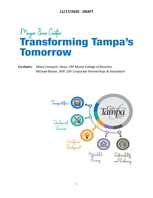

**Co-chairs:** Moez Limayem, Dean, USF Muma College of Business Michael Bloom, AVP, USF Corporate Partnerships & Innovation

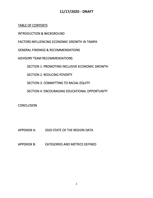TABLE OF CONTENTS

INTRODUCTION & BACKGROUND

FACTORS INFLUENCING ECONOMIC GROWTH IN TAMPA

GENERAL FINDINGS & RECOMMENDATIONS

ADVISORY TEAM RECOMMENDATIONS

SECTION 1. PROMOTING INCLUSIVE ECONOMIC GROWTH

SECTION 2. REDUCING POVERTY

SECTION 3. COMMITTING TO RACIAL EQUITY

SECTION 4. ENCOURAGING EDUCATIONAL OPPORTUNITY

**CONCLUSION** 

APPENDIX A: 2020 STATE OF THE REGION DATA

APPENDIX B: CATEGORIES AND METRICS DEFINED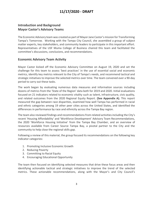## **Introduction and Background Mayor Castor's Advisory Teams**

The Economic Advisory team was created as part of Mayor Jane Castor's mission for Transforming Tampa's Tomorrow. Working with the Tampa City Council, she assembled a group of subject matter experts, key stakeholders, and community leaders to participate in this important effort. Representatives of the USF Muma College of Business chaired this team and facilitated the committee's discussions, conclusions, and recommendations.

### **Economic Advisory Team Activity**

 Mayor Castor kicked off the Economic Advisory Committee on August 19, 2020 and set the challenge for this team to assess 'best practices' in the use of essential social and economic metrics, identify key metrics relevant to the City of Tampa's needs, and recommend tactical and strategic initiatives to improve the selected metrics over time. The team convened over a 90-day period to carry out these tasks.

 The work began by evaluating numerous data measures and information sources including dozens of metrics from the 'State of the Region' data both for 2019 and 2020. Initial evaluations focused on 21 indicators related to economic vitality such as talent, infrastructure, civic quality, and related outcomes from the 2020 Regional Equity Report. **(See Appendix A).** This report measured the gap between race disparities, examined how well Tampa has performed in racial and ethnic categories among 19 other peer cities across the United States, and identified the differences in performance by race and ethnicity across the Tampa Bay region.

 The team also reviewed findings and recommendations from related activities including the City's recent 'Housing Affordability' and 'Workforce Development' Advisory Team Recommendations, the 2020 'Workforce Housing Initiative' from the Tampa Bay Chamber, and an overview of resources available from Career Source Tampa Bay, a pivotal partner to the City and the community to help close the regional skills gap.

 Following a review of this material, the group focused its recommendations on the following key indicator categories:

- 1. Promoting Inclusive Economic Growth
- 2. Reducing Poverty
- 3. Committing to Racial Equity
- 4. Encouraging Educational Opportunity

 The team then focused on identifying selected measures that drive these focus areas and then identifying actionable tactical and strategic initiatives to improve the trend of the selected metrics. These actionable recommendations, along with the Mayor's and City Council's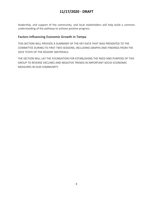leadership, and support of the community, and local stakeholders will help build a common understanding of the pathway to achieve positive progress.

## **Factors Influencing Economic Growth in Tampa**

 THIS SECTION WILL PROVIDE A SUMMARY OF THE KEY DATA THAT WAS PRESENTED TO THE COMMITTEE DURING ITS FIRST TWO SESSIONS, INCLUDING GRAPHS AND FINDINGS FROM THE 2019 'STATE OF THE REGION' MATERIALS.

 THE SECTION WILL LAY THE FOUNDATION FOR ESTABLISHING THE NEED AND PURPOSE OF THIS GROUP TO REVERSE DECLINES AND NEGATIVE TRENDS IN IMPORTANT SOCIO-ECONOMIC MEASURES IN OUR COMMUNITY.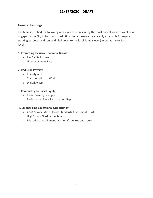## **General Findings**

 The team identified the following measures as representing the most critical areas of weakness or gaps for the City to focus on. In addition, these measures are readily accessible for regular tracking purposes and can be drilled down to the local Tampa level (versus at the regional level).

#### **1. Promoting Inclusive Economic Growth**

- a. Per Capita Income
- b. Unemployment Rate

### **2. Reducing Poverty**

- a. Poverty rate
- b. Transportation to Work
- c. Digital Access

### **3. Committing to Racial Equity**

- a. Racial Poverty rate gap
- b. Racial Labor Force Participation Gap

### **4. Emphasizing Educational Opportunity**

- a. 4<sup>th</sup>/8<sup>th</sup> Grade Math Florida Standards Assessment (FSA)
- b. High School Graduation Rate
- c. Educational Attainment (Bachelor's degree and above)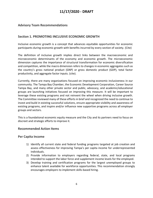### **Advisory Team Recommendations**

### **Section 1. PROMOTING INCLUSIVE ECONOMIC GROWTH**

 Inclusive economic growth is a concept that advances equitable opportunities for economic participants during economic growth with benefits incurred by every section of society. (Cite)

 The definition of inclusive growth implies direct links between the macroeconomic and microeconomic determinants of the economy and economic growth. The microeconomic dimension captures the importance of structural transformation for economic diversification and competition, while the macro dimension refers to changes in economic aggregates such as the country's gross national product (GNP) or gross domestic product (GDP), total factor productivity, and aggregate factor inputs. (cite).

 Currently, there are many organizations focused on improving economic inclusiveness in our Tampa Bay, and many other private sector and public, advocacy, and academic/educational groups are launching initiatives focused on improving this measure. It will be important to leverage these existing programs and not reinvent the wheel when driving inclusive growth. The Committee reviewed many of these efforts in brief and recognized the need to continue to invest and build in existing successful solutions, ensure appropriate visibility and awareness of existing programs, and inspire and/or influence new supportive programs across all employer groups and sectors. community. The Tampa Bay Chamber, the Economic Development Corporation, Career Source

 This is a foundational economic equity measure and the City and its partners need to focus on discreet and strategic efforts to improve it.

### **Recommended Action Items**

#### **Per Capita Income**

- 1) Identify all current state and federal funding programs targeted at job creation and assess effectiveness for improving Tampa's per capita income for underrepresented individuals.
- 2) Provide information to employers regarding federal, state, and local programs intended to support the labor force and supplement income levels for the employed.
- 3) Develop training and certification programs for the largest unemployed groups to enhance talent available for workforce opportunities. This recommendation strongly encourages employers to implement skills-based hiring.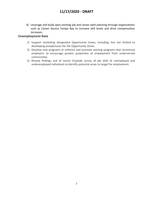4) Leverage and build upon existing job and career path planning through organizations such as Career Source Tampa Bay to increase skill levels and drive compensation increases.

### **Unemployment Rate**

- 1) Support marketing designated Opportunity Zones, including, but not limited to developing prospectuses for the Opportunity Zones.
- 2) Develop new programs or enhance and promote existing programs that incentivize employers to encourage greater proportion of employment from underserved communities.
- 3) Review findings and of recent Citywide survey of job skills of unemployed and underemployed individuals to identify potential areas to target for employment.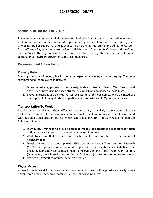## **Section 2. REDUCING PROVERTY**

 Poverty reduction, poverty relief, or poverty alleviation is a set of measures, both economic and humanitarian, that are intended to permanently lift people out of poverty. (Cite) The City of Tampa has several resources that can be helpful in this journey including the Career Source Tampa Bay team, representatives of Hillsborough Community College, and the One Tampa Board. These groups, and others, will need to come together to find real solutions to make meaningful improvements in these measures.

### **Recommended Action Items**

#### **Poverty Rate**

 Breaking the cycle of poverty is a fundamental aspect of achieving economic equity. The team recommended the following initiatives:

- 1. Focus on reducing poverty in specific neighborhoods like East Tampa, West Tampa, and Ybor City by providing increased structure, support, and guidance to those CRAs.
- 2. Encourage actions and policies that will attract more jobs, businesses, and true mixed-use developments to neighborhoods, particularly those with viable Opportunity Zones.

### **Transportation To Work**

 Enabling access to reliable and cost-effective transportation, particularly to work centers, is a key part of increasing the likelihood of long-standing employment and reducing the costs associated with personal transportation, both of which can reduce poverty. The team recommended the following initiatives:

- 1. Identify best methods to provide access to reliable and frequent public transportation options largely focused on connection to core work centers.
- 2. Work to ensure that frequent and reliable public transportation is available in all neighborhoods.
- 3. Develop a formal partnership with USF's Center for Urban Transportation Research (CUTR) and possibly other related organizations to establish an initiative that encourages/incentivizes selected major employers in the three major work centers (Downtown, Westshore, Innovation District/University) to promote commuter resources.
- 4. Explore a City Staff commuter incentive program.

### **Digital Access**

 Access to the internet for educational and vocational purposes will help reduce poverty across underserved areas. The team recommended the following initiatives: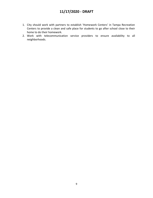- 1. City should work with partners to establish 'Homework Centers' in Tampa Recreation Centers to provide a clean and safe place for students to go after school close to their home to do their homework.
- 2. Work with telecommunication service providers to ensure availability to all neighborhoods.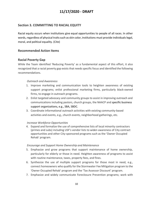### **Section 3. COMMITTING TO RACIAL EQUITY**

 Racial equity occurs when institutions give equal opportunities to people of all races. In other words, regardless of physical traits such as skin color, institutions must provide individuals legal, moral, and political equality. (Cite)

### **Recommended Action Items**

### **Racial Poverty Gap**

 While the Team identified 'Reducing Poverty' as a fundamental aspect of this effort, it also recognized that a racial poverty gap exists that needs specific focus and identified the following recommendations.

#### *Outreach and Awareness*

- 1. Improve marketing and communication tools to heighten awareness of existing firms, to engage in outreach programs. support programs; enlist professional marketing firms, particularly black-owned
- 2. Enlist targeted advocacy and community groups to assist in improving outreach and communications including pastors, church groups, the NAACP and specific business support organizations, e.g., SBA, SBDC.
- 3. Coordinate informational outreach activities with existing community-based activities and events, e.g., church events, neighborhood gatherings, etc.

#### *Increase Workforce Opportunities*

 4. Expand and formalize the use of comprehensive lists of local minority contractors (primes and subs) including USF's vendor lists to widen awareness of City contract opportunities and other City-sponsored programs such as the 'Owner Occupied Rehab' program.

#### *Encourage and Support Home Ownership and Maintenance*

- 5. Emphasize and grow programs that support maintenance of home ownership, particularly for elderly or those in need. Heighten awareness of programs to assist with routine maintenance, taxes, property fees, and fines.
- 6. Synthesize the use of multiple support programs for those most in need, e.g., connect homeowners who qualify for the Stormwater Fee Mitigation program to the 'Owner Occupied Rehab' program and the 'Tax Assessor Discount' program.
- 7. Emphasize and widely communicate Foreclosure Prevention programs; work with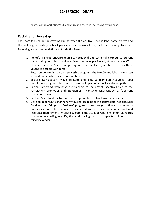professional marketing/outreach firms to assist in increasing awareness.

### **Racial Labor Force Gap**

 The Team focused on the growing gap between the positive trend in labor force growth and the declining percentage of black participants in the work force, particularly young black men. Following are recommendations to tackle this issue:

- 1. Identify training, entrepreneurship, vocational and technical partners to present paths and options that are alternatives to college, particularly at an early age. Work closely with Career Source Tampa Bay and other similar organizations to return these youths to a stable workforce.
- 2. Focus on developing an apprenticeship program; the NAACP and labor unions can support and market these opportunities.
- 3. Explore Davis-Bacon (wage related) and Sec. 3 (community-sourced jobs) recruitment programs that demonstrate the impact of a specific selected path.
- 4. Explore programs with private employers to implement incentives tied to the recruitment, promotion, and retention of African Americans; consider USF's current similar initiatives.
- 5. Explore 'Seed Funders' to contribute to promotion of black-owned businesses.
- 6. Develop opportunities for minority businesses to be prime contractors, not just subs; Build on the 'Bridges to Business' program to encourage cultivation of minority businesses, particularly smaller projects that will have less substantial bond and insurance requirements; Work to overcome the situation where minimum standards can become a ceiling, e.g. 3%; this holds back growth and capacity-building across minority vendors.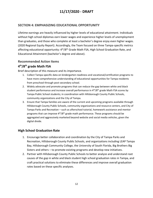### **SECTION 4: EMPHASIZING EDUCATIONAL OPPORTUNITY**

 Lifetime earnings are heavily influenced by higher levels of educational attainment. Individuals without high school diplomas earn lower wages and experience higher levels of unemployment than graduates, and those who complete at least a bachelor's degree enjoy even higher wages. (2020 Regional Equity Report). Accordingly, the Team focused on three Tampa-specific metrics affecting educational opportunity: 4<sup>th</sup>/8<sup>th</sup> Grade Math FSA, High School Graduation Rate, and Educational Attainment (bachelor's degree and above).

### **Recommended Action Items**

## **4th/8th grade Math FSA**

Brief description of this measure and its importance.

- 1. Collect Tampa-specific data on kindergarten readiness and vocational/certification programs to have more comprehensive understanding of educational opportunities for Tampa residents from preschool through post-secondary school.
- 2. Widely advocate and promote programs that can reduce the gap between white and black student performance and increase overall performance in  $4<sup>th</sup>/8<sup>th</sup>$  grade Math FSA scores by Tampa Public School students; in coordination with Hillsborough County Public Schools, community organizations and the City of Tampa.
- 3. Ensure that Tampa families are aware of the current and upcoming programs available through Hillsborough County Public Schools, community organizations and resource centers, and City of Tampa Parks and Recreation – such as afterschool tutorial, homework assistance and mentor programs that can improve  $4<sup>th</sup>/8<sup>th</sup>$  grade math performance. These programs should be aggregated and aggressively marketed beyond website and social media vehicles, given the digital divide.

### **High School Graduation Rate**

- 1. Encourage better collaboration and coordination by the City of Tampa Parks and Recreation, Hillsborough County Public Schools, and organizations including LEAP Tampa Bay, Hillsborough Community College, the University of South Florida, Big Brothers Big Sisters and others – to promote existing programs and develop new initiatives.
- 2. Partner with Hillsborough County Public Schools to better analyze and understand root causes of the gap in white and black student high school graduation rates in Tampa, and craft practical solutions to eliminate these differences and improve overall graduation rates based on these specific analyses.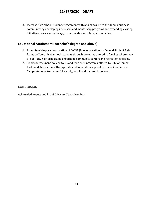3. Increase high school student engagement with and exposure to the Tampa business community by developing internship and mentorship programs and expanding existing initiatives on career pathways, in partnership with Tampa companies.

## **Educational Attainment (bachelor's degree and above)**

- 1. Promote widespread completion of FAFSA (Free Application for Federal Student Aid) forms by Tampa high school students through programs offered to families where they are at – city high schools, neighborhood community centers and recreation facilities.
- 2. Significantly expand college tours and teen prep programs offered by City of Tampa Parks and Recreation with corporate and foundation support, to make it easier for Tampa students to successfully apply, enroll and succeed in college.

#### **CONCLUSION**

 **Acknowledgments and list of Advisory Team Members**